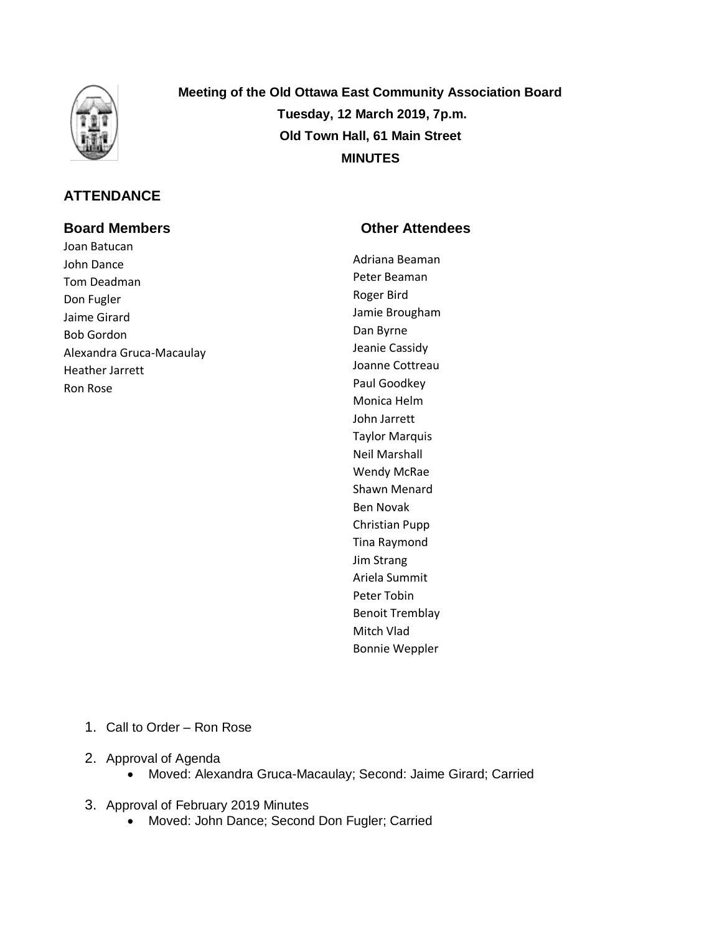

# **ATTENDANCE**

Joan Batucan John Dance Tom Deadman Don Fugler Jaime Girard Bob Gordon Alexandra Gruca-Macaulay Heather Jarrett Ron Rose

**Meeting of the Old Ottawa East Community Association Board Tuesday, 12 March 2019, 7p.m. Old Town Hall, 61 Main Street MINUTES**

# **Board Members Other Attendees**

Adriana Beaman Peter Beaman Roger Bird Jamie Brougham Dan Byrne Jeanie Cassidy Joanne Cottreau Paul Goodkey Monica Helm John Jarrett Taylor Marquis Neil Marshall Wendy McRae Shawn Menard Ben Novak Christian Pupp Tina Raymond Jim Strang Ariela Summit Peter Tobin Benoit Tremblay Mitch Vlad Bonnie Weppler

- 1. Call to Order Ron Rose
- 2. Approval of Agenda
	- Moved: Alexandra Gruca-Macaulay; Second: Jaime Girard; Carried
- 3. Approval of February 2019 Minutes
	- Moved: John Dance; Second Don Fugler; Carried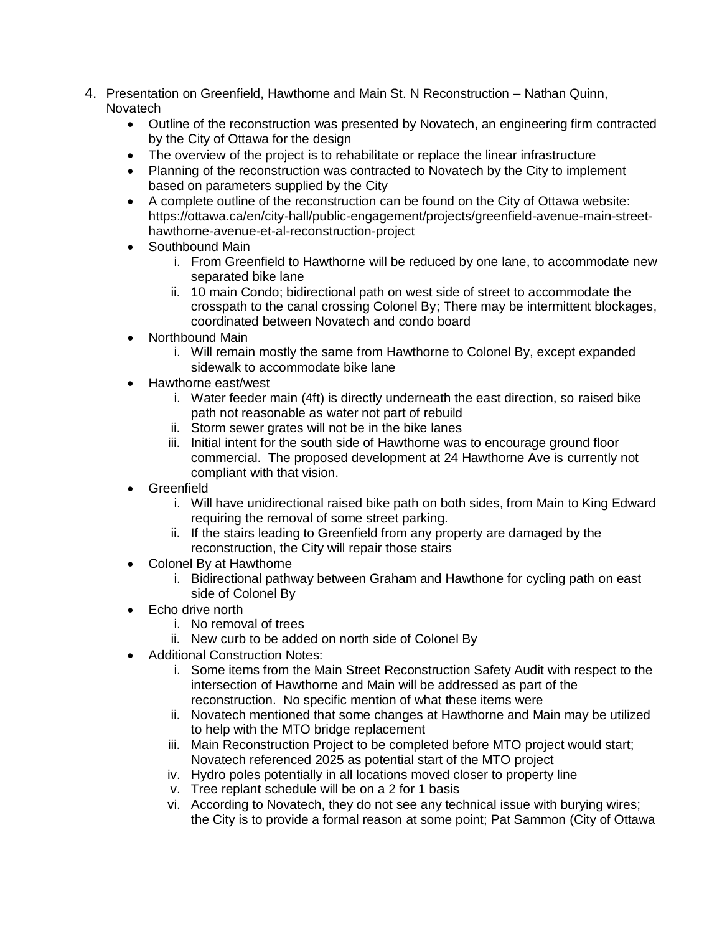- 4. Presentation on Greenfield, Hawthorne and Main St. N Reconstruction Nathan Quinn, Novatech
	- Outline of the reconstruction was presented by Novatech, an engineering firm contracted by the City of Ottawa for the design
	- The overview of the project is to rehabilitate or replace the linear infrastructure
	- Planning of the reconstruction was contracted to Novatech by the City to implement based on parameters supplied by the City
	- A complete outline of the reconstruction can be found on the City of Ottawa website: https://ottawa.ca/en/city-hall/public-engagement/projects/greenfield-avenue-main-streethawthorne-avenue-et-al-reconstruction-project
	- Southbound Main
		- i. From Greenfield to Hawthorne will be reduced by one lane, to accommodate new separated bike lane
		- ii. 10 main Condo; bidirectional path on west side of street to accommodate the crosspath to the canal crossing Colonel By; There may be intermittent blockages, coordinated between Novatech and condo board
	- Northbound Main
		- i. Will remain mostly the same from Hawthorne to Colonel By, except expanded sidewalk to accommodate bike lane
	- Hawthorne east/west
		- i. Water feeder main (4ft) is directly underneath the east direction, so raised bike path not reasonable as water not part of rebuild
		- ii. Storm sewer grates will not be in the bike lanes
		- iii. Initial intent for the south side of Hawthorne was to encourage ground floor commercial. The proposed development at 24 Hawthorne Ave is currently not compliant with that vision.
	- Greenfield
		- i. Will have unidirectional raised bike path on both sides, from Main to King Edward requiring the removal of some street parking.
		- ii. If the stairs leading to Greenfield from any property are damaged by the reconstruction, the City will repair those stairs
	- Colonel By at Hawthorne
		- i. Bidirectional pathway between Graham and Hawthone for cycling path on east side of Colonel By
	- Echo drive north
		- i. No removal of trees
		- ii. New curb to be added on north side of Colonel By
	- Additional Construction Notes:
		- i. Some items from the Main Street Reconstruction Safety Audit with respect to the intersection of Hawthorne and Main will be addressed as part of the reconstruction. No specific mention of what these items were
		- ii. Novatech mentioned that some changes at Hawthorne and Main may be utilized to help with the MTO bridge replacement
		- iii. Main Reconstruction Project to be completed before MTO project would start; Novatech referenced 2025 as potential start of the MTO project
		- iv. Hydro poles potentially in all locations moved closer to property line
		- v. Tree replant schedule will be on a 2 for 1 basis
		- vi. According to Novatech, they do not see any technical issue with burying wires; the City is to provide a formal reason at some point; Pat Sammon (City of Ottawa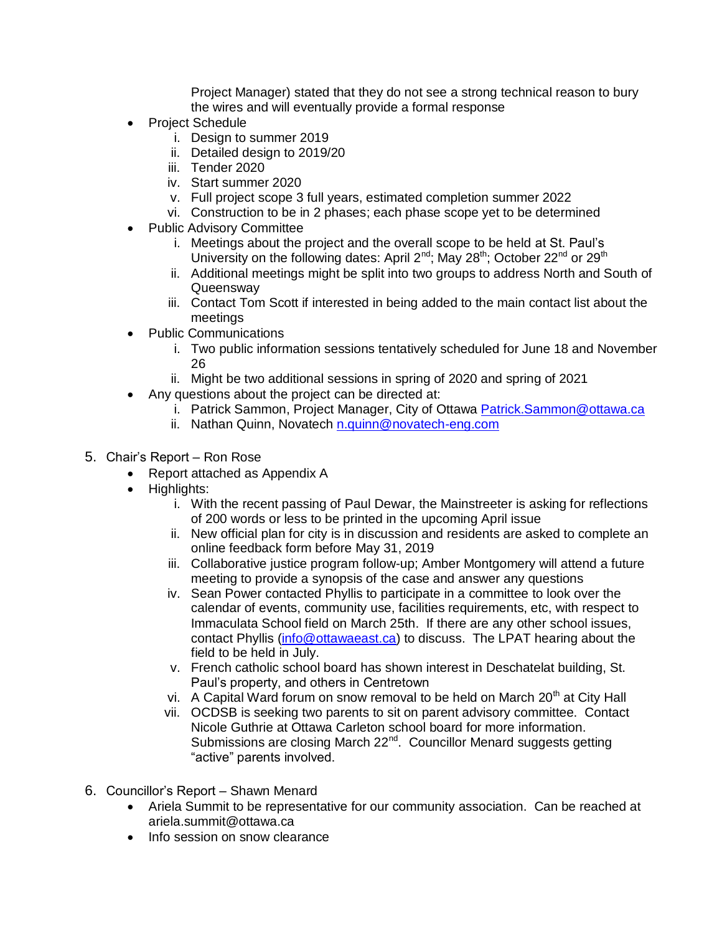Project Manager) stated that they do not see a strong technical reason to bury the wires and will eventually provide a formal response

- Project Schedule
	- i. Design to summer 2019
	- ii. Detailed design to 2019/20
	- iii. Tender 2020
	- iv. Start summer 2020
	- v. Full project scope 3 full years, estimated completion summer 2022
	- vi. Construction to be in 2 phases; each phase scope yet to be determined
- Public Advisory Committee
	- i. Meetings about the project and the overall scope to be held at St. Paul's University on the following dates: April 2<sup>nd</sup>; May 28<sup>th</sup>; October 22<sup>nd</sup> or 29<sup>th</sup>
	- ii. Additional meetings might be split into two groups to address North and South of **Queensway**
	- iii. Contact Tom Scott if interested in being added to the main contact list about the meetings
- Public Communications
	- i. Two public information sessions tentatively scheduled for June 18 and November 26
	- ii. Might be two additional sessions in spring of 2020 and spring of 2021
- Any questions about the project can be directed at:
	- i. Patrick Sammon, Project Manager, City of Ottawa [Patrick.Sammon@ottawa.ca](mailto:Patrick.Sammon@ottawa.ca)
	- ii. Nathan Quinn, Novatech [n.quinn@novatech-eng.com](mailto:n.quinn@novatech-eng.com)
- 5. Chair's Report Ron Rose
	- Report attached as Appendix A
	- Highlights:
		- i. With the recent passing of Paul Dewar, the Mainstreeter is asking for reflections of 200 words or less to be printed in the upcoming April issue
		- ii. New official plan for city is in discussion and residents are asked to complete an online feedback form before May 31, 2019
		- iii. Collaborative justice program follow-up; Amber Montgomery will attend a future meeting to provide a synopsis of the case and answer any questions
		- iv. Sean Power contacted Phyllis to participate in a committee to look over the calendar of events, community use, facilities requirements, etc, with respect to Immaculata School field on March 25th. If there are any other school issues, contact Phyllis [\(info@ottawaeast.ca\)](mailto:info@ottawaeast.ca) to discuss. The LPAT hearing about the field to be held in July.
		- v. French catholic school board has shown interest in Deschatelat building, St. Paul's property, and others in Centretown
		- vi. A Capital Ward forum on snow removal to be held on March  $20<sup>th</sup>$  at City Hall
		- vii. OCDSB is seeking two parents to sit on parent advisory committee. Contact Nicole Guthrie at Ottawa Carleton school board for more information. Submissions are closing March 22<sup>nd</sup>. Councillor Menard suggests getting "active" parents involved.
- 6. Councillor's Report Shawn Menard
	- Ariela Summit to be representative for our community association. Can be reached at ariela.summit@ottawa.ca
	- Info session on snow clearance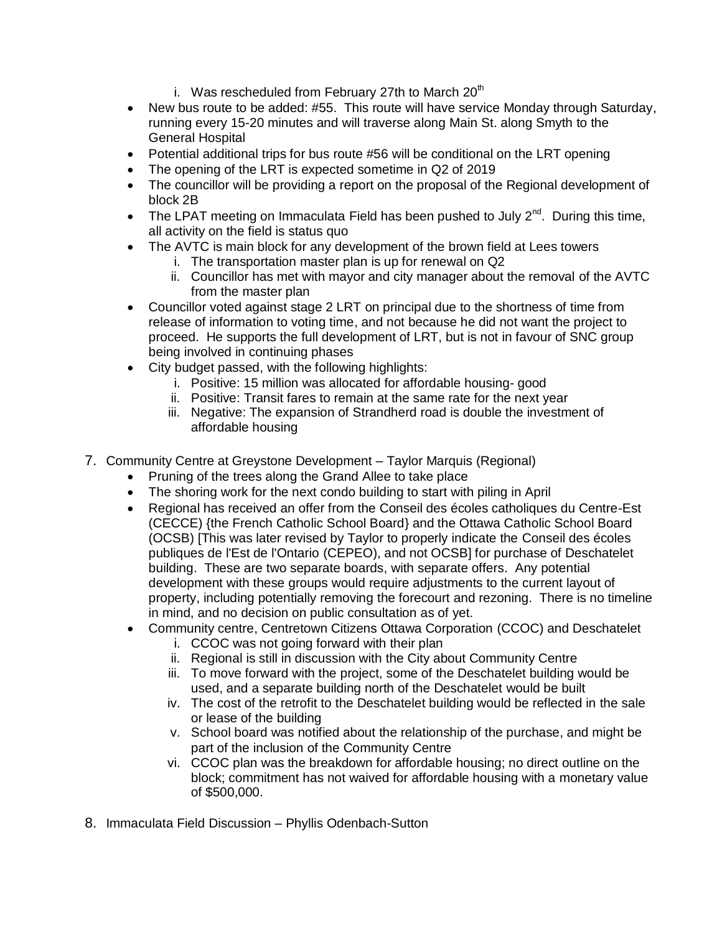- i. Was rescheduled from February 27th to March 20<sup>th</sup>
- New bus route to be added: #55. This route will have service Monday through Saturday, running every 15-20 minutes and will traverse along Main St. along Smyth to the General Hospital
- Potential additional trips for bus route #56 will be conditional on the LRT opening
- The opening of the LRT is expected sometime in Q2 of 2019
- The councillor will be providing a report on the proposal of the Regional development of block 2B
- The LPAT meeting on Immaculata Field has been pushed to July  $2^{nd}$ . During this time, all activity on the field is status quo
- The AVTC is main block for any development of the brown field at Lees towers
	- i. The transportation master plan is up for renewal on Q2
	- ii. Councillor has met with mayor and city manager about the removal of the AVTC from the master plan
- Councillor voted against stage 2 LRT on principal due to the shortness of time from release of information to voting time, and not because he did not want the project to proceed. He supports the full development of LRT, but is not in favour of SNC group being involved in continuing phases
- City budget passed, with the following highlights:
	- i. Positive: 15 million was allocated for affordable housing- good
	- ii. Positive: Transit fares to remain at the same rate for the next year
	- iii. Negative: The expansion of Strandherd road is double the investment of affordable housing
- 7. Community Centre at Greystone Development Taylor Marquis (Regional)
	- Pruning of the trees along the Grand Allee to take place
	- The shoring work for the next condo building to start with piling in April
	- Regional has received an offer from the Conseil des écoles catholiques du Centre-Est (CECCE) {the French Catholic School Board} and the Ottawa Catholic School Board (OCSB) [This was later revised by Taylor to properly indicate the Conseil des écoles publiques de l'Est de l'Ontario (CEPEO), and not OCSB] for purchase of Deschatelet building. These are two separate boards, with separate offers. Any potential development with these groups would require adjustments to the current layout of property, including potentially removing the forecourt and rezoning. There is no timeline in mind, and no decision on public consultation as of yet.
	- Community centre, Centretown Citizens Ottawa Corporation (CCOC) and Deschatelet
		- i. CCOC was not going forward with their plan
		- ii. Regional is still in discussion with the City about Community Centre
		- iii. To move forward with the project, some of the Deschatelet building would be used, and a separate building north of the Deschatelet would be built
		- iv. The cost of the retrofit to the Deschatelet building would be reflected in the sale or lease of the building
		- v. School board was notified about the relationship of the purchase, and might be part of the inclusion of the Community Centre
		- vi. CCOC plan was the breakdown for affordable housing; no direct outline on the block; commitment has not waived for affordable housing with a monetary value of \$500,000.
- 8. Immaculata Field Discussion Phyllis Odenbach-Sutton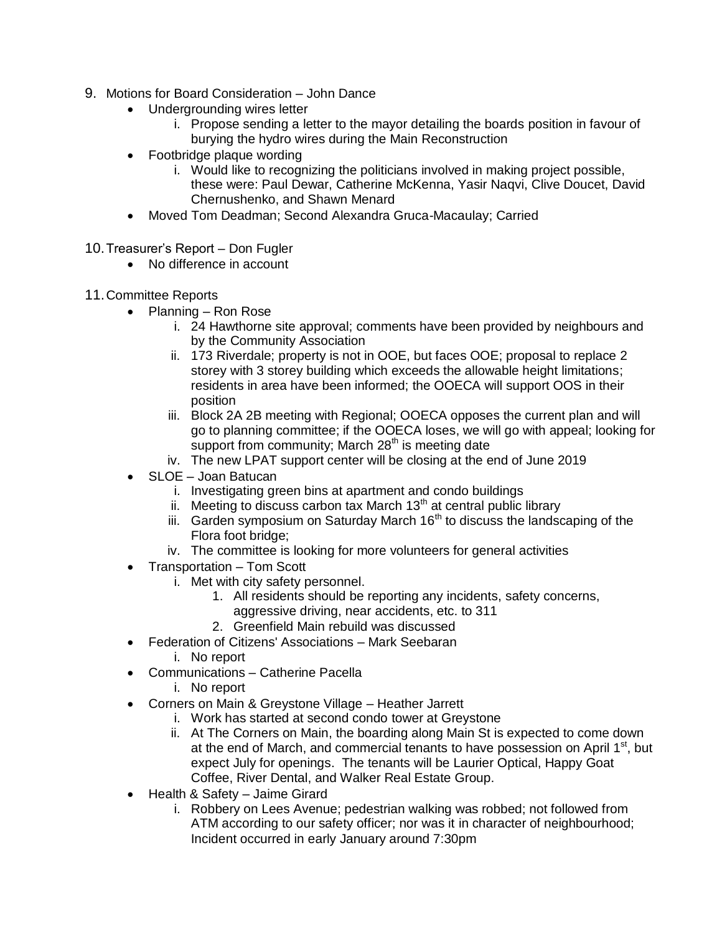- 9. Motions for Board Consideration John Dance
	- Undergrounding wires letter
		- i. Propose sending a letter to the mayor detailing the boards position in favour of burying the hydro wires during the Main Reconstruction
	- Footbridge plaque wording
		- i. Would like to recognizing the politicians involved in making project possible, these were: Paul Dewar, Catherine McKenna, Yasir Naqvi, Clive Doucet, David Chernushenko, and Shawn Menard
	- Moved Tom Deadman; Second Alexandra Gruca-Macaulay; Carried
- 10.Treasurer's Report Don Fugler
	- No difference in account
- 11.Committee Reports
	- Planning Ron Rose
		- i. 24 Hawthorne site approval; comments have been provided by neighbours and by the Community Association
		- ii. 173 Riverdale; property is not in OOE, but faces OOE; proposal to replace 2 storey with 3 storey building which exceeds the allowable height limitations; residents in area have been informed; the OOECA will support OOS in their position
		- iii. Block 2A 2B meeting with Regional; OOECA opposes the current plan and will go to planning committee; if the OOECA loses, we will go with appeal; looking for support from community; March  $28<sup>th</sup>$  is meeting date
		- iv. The new LPAT support center will be closing at the end of June 2019
	- SLOE Joan Batucan
		- i. Investigating green bins at apartment and condo buildings
		- ii. Meeting to discuss carbon tax March  $13<sup>th</sup>$  at central public library
		- iii. Garden symposium on Saturday March  $16<sup>th</sup>$  to discuss the landscaping of the Flora foot bridge;
		- iv. The committee is looking for more volunteers for general activities
	- Transportation Tom Scott
		- i. Met with city safety personnel.
			- 1. All residents should be reporting any incidents, safety concerns,
				- aggressive driving, near accidents, etc. to 311
			- 2. Greenfield Main rebuild was discussed
	- Federation of Citizens' Associations Mark Seebaran
		- i. No report
	- Communications Catherine Pacella
		- i. No report
	- Corners on Main & Greystone Village Heather Jarrett
		- i. Work has started at second condo tower at Greystone
		- ii. At The Corners on Main, the boarding along Main St is expected to come down at the end of March, and commercial tenants to have possession on April  $1<sup>st</sup>$ , but expect July for openings. The tenants will be Laurier Optical, Happy Goat Coffee, River Dental, and Walker Real Estate Group.
	- Health & Safety Jaime Girard
		- i. Robbery on Lees Avenue; pedestrian walking was robbed; not followed from ATM according to our safety officer; nor was it in character of neighbourhood; Incident occurred in early January around 7:30pm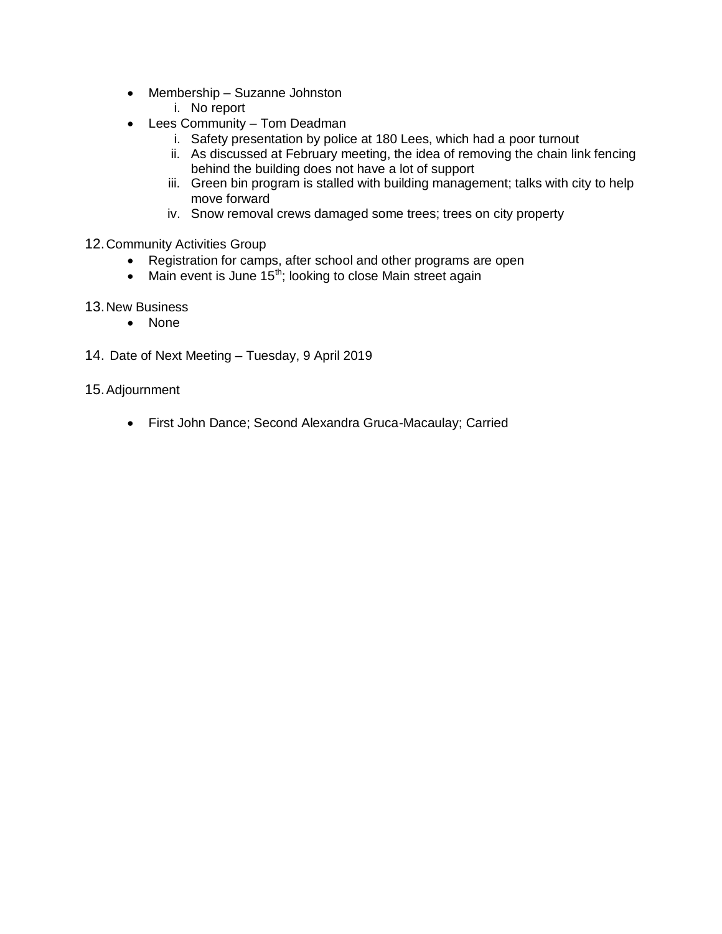- Membership Suzanne Johnston
	- i. No report
- Lees Community Tom Deadman
	- i. Safety presentation by police at 180 Lees, which had a poor turnout
	- ii. As discussed at February meeting, the idea of removing the chain link fencing behind the building does not have a lot of support
	- iii. Green bin program is stalled with building management; talks with city to help move forward
	- iv. Snow removal crews damaged some trees; trees on city property
- 12.Community Activities Group
	- Registration for camps, after school and other programs are open
	- $\bullet$  Main event is June 15<sup>th</sup>; looking to close Main street again
- 13.New Business
	- None
- 14. Date of Next Meeting Tuesday, 9 April 2019

## 15.Adjournment

First John Dance; Second Alexandra Gruca-Macaulay; Carried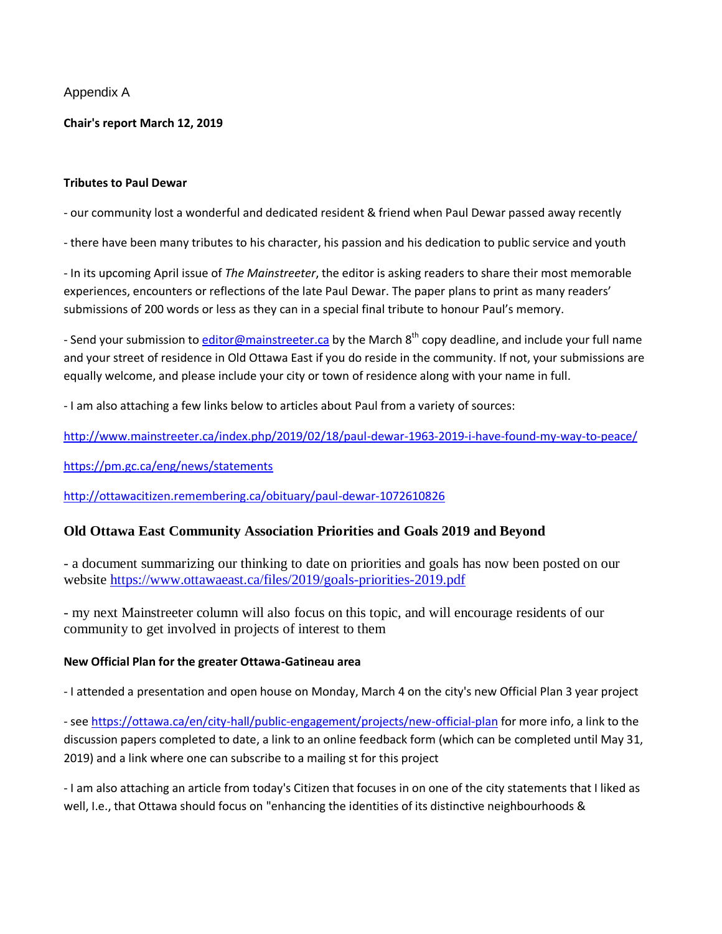## Appendix A

**Chair's report March 12, 2019**

#### **Tributes to Paul Dewar**

- our community lost a wonderful and dedicated resident & friend when Paul Dewar passed away recently

- there have been many tributes to his character, his passion and his dedication to public service and youth

- In its upcoming April issue of *The Mainstreeter*, the editor is asking readers to share their most memorable experiences, encounters or reflections of the late Paul Dewar. The paper plans to print as many readers' submissions of 200 words or less as they can in a special final tribute to honour Paul's memory.

- Send your submission to [editor@mainstreeter.ca](mailto:editor@mainstreeter.ca) by the March 8<sup>th</sup> copy deadline, and include your full name and your street of residence in Old Ottawa East if you do reside in the community. If not, your submissions are equally welcome, and please include your city or town of residence along with your name in full.

- I am also attaching a few links below to articles about Paul from a variety of sources:

<http://www.mainstreeter.ca/index.php/2019/02/18/paul-dewar-1963-2019-i-have-found-my-way-to-peace/>

<https://pm.gc.ca/eng/news/statements>

<http://ottawacitizen.remembering.ca/obituary/paul-dewar-1072610826>

## **Old Ottawa East Community Association Priorities and Goals 2019 and Beyond**

- a document summarizing our thinking to date on priorities and goals has now been posted on our website <https://www.ottawaeast.ca/files/2019/goals-priorities-2019.pdf>

- my next Mainstreeter column will also focus on this topic, and will encourage residents of our community to get involved in projects of interest to them

#### **New Official Plan for the greater Ottawa-Gatineau area**

- I attended a presentation and open house on Monday, March 4 on the city's new Official Plan 3 year project

- see <https://ottawa.ca/en/city-hall/public-engagement/projects/new-official-plan> for more info, a link to the discussion papers completed to date, a link to an online feedback form (which can be completed until May 31, 2019) and a link where one can subscribe to a mailing st for this project

- I am also attaching an article from today's Citizen that focuses in on one of the city statements that I liked as well, I.e., that Ottawa should focus on "enhancing the identities of its distinctive neighbourhoods &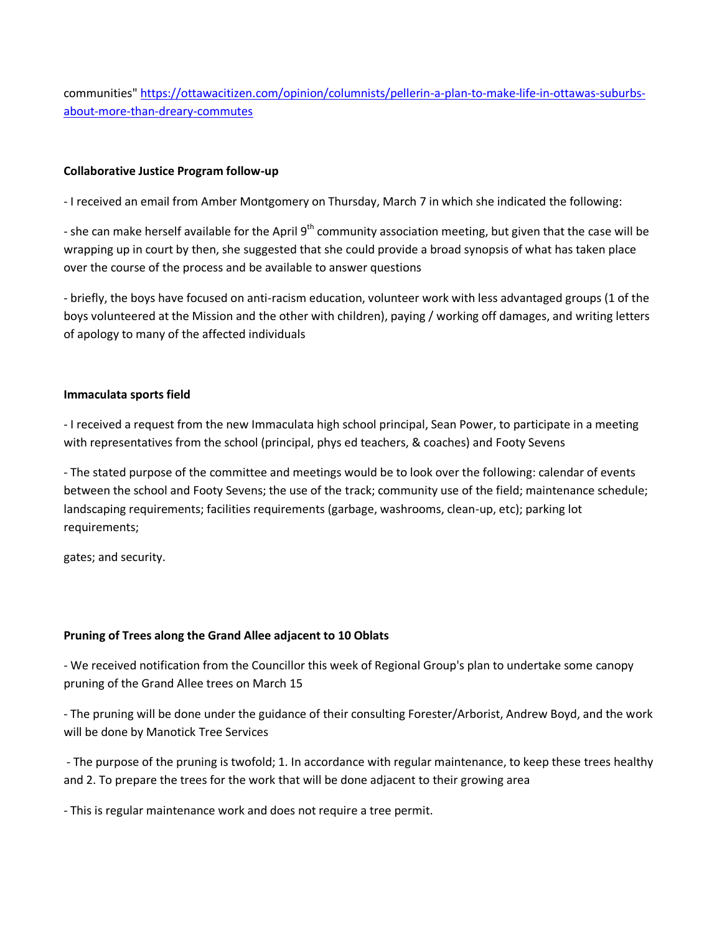communities" [https://ottawacitizen.com/opinion/columnists/pellerin-a-plan-to-make-life-in-ottawas-suburbs](https://ottawacitizen.com/opinion/columnists/pellerin-a-plan-to-make-life-in-ottawas-suburbs-about-more-than-dreary-commutes)[about-more-than-dreary-commutes](https://ottawacitizen.com/opinion/columnists/pellerin-a-plan-to-make-life-in-ottawas-suburbs-about-more-than-dreary-commutes)

### **Collaborative Justice Program follow-up**

- I received an email from Amber Montgomery on Thursday, March 7 in which she indicated the following:

- she can make herself available for the April  $9<sup>th</sup>$  community association meeting, but given that the case will be wrapping up in court by then, she suggested that she could provide a broad synopsis of what has taken place over the course of the process and be available to answer questions

- briefly, the boys have focused on anti-racism education, volunteer work with less advantaged groups (1 of the boys volunteered at the Mission and the other with children), paying / working off damages, and writing letters of apology to many of the affected individuals

#### **Immaculata sports field**

- I received a request from the new Immaculata high school principal, Sean Power, to participate in a meeting with representatives from the school (principal, phys ed teachers, & coaches) and Footy Sevens

- The stated purpose of the committee and meetings would be to look over the following: calendar of events between the school and Footy Sevens; the use of the track; community use of the field; maintenance schedule; landscaping requirements; facilities requirements (garbage, washrooms, clean-up, etc); parking lot requirements;

gates; and security.

## **Pruning of Trees along the Grand Allee adjacent to 10 Oblats**

- We received notification from the Councillor this week of Regional Group's plan to undertake some canopy pruning of the Grand Allee trees on March 15

- The pruning will be done under the guidance of their consulting Forester/Arborist, Andrew Boyd, and the work will be done by Manotick Tree Services

- The purpose of the pruning is twofold; 1. In accordance with regular maintenance, to keep these trees healthy and 2. To prepare the trees for the work that will be done adjacent to their growing area

- This is regular maintenance work and does not require a tree permit.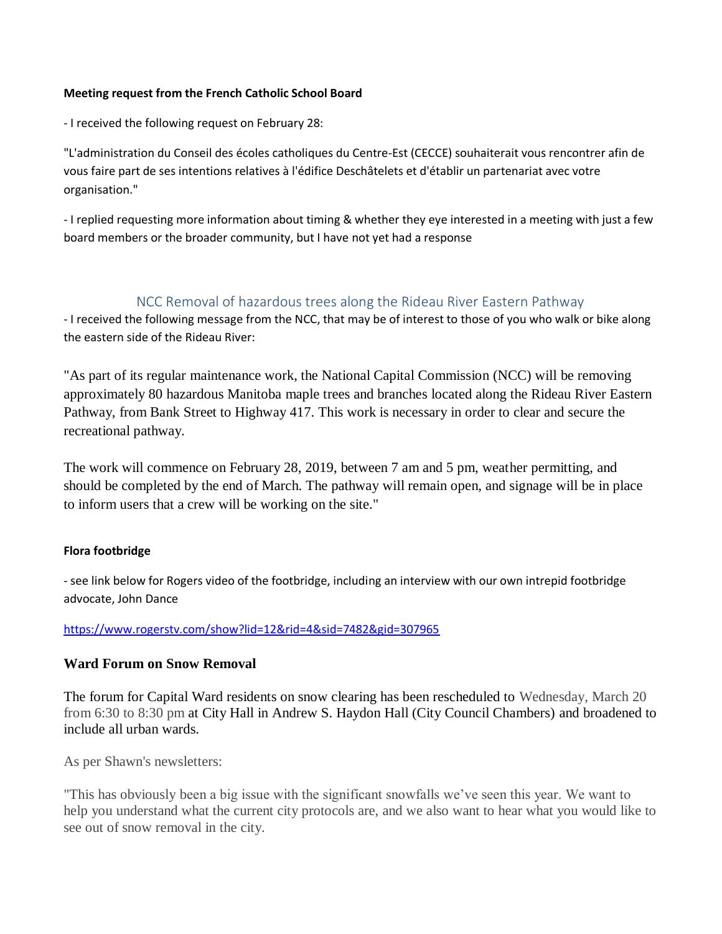### **Meeting request from the French Catholic School Board**

- I received the following request on February 28:

"L'administration du Conseil des écoles catholiques du Centre-Est (CECCE) souhaiterait vous rencontrer afin de vous faire part de ses intentions relatives à l'édifice Deschâtelets et d'établir un partenariat avec votre organisation."

- I replied requesting more information about timing & whether they eye interested in a meeting with just a few board members or the broader community, but I have not yet had a response

# NCC Removal of hazardous trees along the Rideau River Eastern Pathway

- I received the following message from the NCC, that may be of interest to those of you who walk or bike along the eastern side of the Rideau River:

"As part of its regular maintenance work, the National Capital Commission (NCC) will be removing approximately 80 hazardous Manitoba maple trees and branches located along the Rideau River Eastern Pathway, from Bank Street to Highway 417. This work is necessary in order to clear and secure the recreational pathway.

The work will commence on February 28, 2019, between 7 am and 5 pm, weather permitting, and should be completed by the end of March. The pathway will remain open, and signage will be in place to inform users that a crew will be working on the site."

## **Flora footbridge**

- see link below for Rogers video of the footbridge, including an interview with our own intrepid footbridge advocate, John Dance

<https://www.rogerstv.com/show?lid=12&rid=4&sid=7482&gid=307965>

# **Ward Forum on Snow Removal**

The forum for Capital Ward residents on snow clearing has been rescheduled to Wednesday, March 20 from 6:30 to 8:30 pm at City Hall in Andrew S. Haydon Hall (City Council Chambers) and broadened to include all urban wards.

As per Shawn's newsletters:

"This has obviously been a big issue with the significant snowfalls we've seen this year. We want to help you understand what the current city protocols are, and we also want to hear what you would like to see out of snow removal in the city.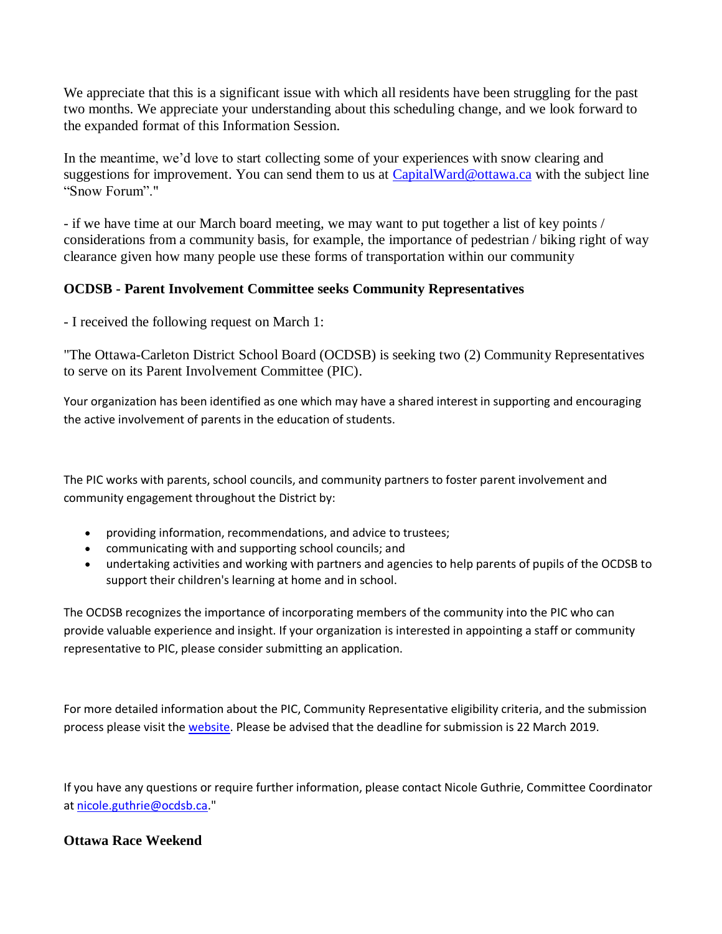We appreciate that this is a significant issue with which all residents have been struggling for the past two months. We appreciate your understanding about this scheduling change, and we look forward to the expanded format of this Information Session.

In the meantime, we'd love to start collecting some of your experiences with snow clearing and suggestions for improvement. You can send them to us at [CapitalWard@ottawa.ca](mailto:CapitalWard@ottawa.ca) with the subject line "Snow Forum"."

- if we have time at our March board meeting, we may want to put together a list of key points / considerations from a community basis, for example, the importance of pedestrian / biking right of way clearance given how many people use these forms of transportation within our community

# **OCDSB - Parent Involvement Committee seeks Community Representatives**

- I received the following request on March 1:

"The Ottawa-Carleton District School Board (OCDSB) is seeking two (2) Community Representatives to serve on its Parent Involvement Committee (PIC).

Your organization has been identified as one which may have a shared interest in supporting and encouraging the active involvement of parents in the education of students.

The PIC works with parents, school councils, and community partners to foster parent involvement and community engagement throughout the District by:

- providing information, recommendations, and advice to trustees;
- communicating with and supporting school councils; and
- undertaking activities and working with partners and agencies to help parents of pupils of the OCDSB to support their children's learning at home and in school.

The OCDSB recognizes the importance of incorporating members of the community into the PIC who can provide valuable experience and insight. If your organization is interested in appointing a staff or community representative to PIC, please consider submitting an application.

For more detailed information about the PIC, Community Representative eligibility criteria, and the submission process please visit the [website.](http://r20.rs6.net/tn.jsp?f=001AWa9OvZ7K-HoI7Tu76_jb10CVZeHoFwug2vzysd1ibJ4ylPar4meisgfyOURvXPPyum3dBc90pzz1b0upeFzsFkJMxrvQEPaIjpv_SwuTGpWow4fgl5AVsmS9-GaIG-iScV8kQJ801m-_61niueqdMSfaCy9hBwLqcUTrvVZLfiWbm_V-jBf-6g_axkcMGF3E3rEH3z9W0spw-vGd1JwqmxhXps5okpn68lx7Er858opaN3QvVFFhmoVkCf4S4Fuoscnt5Mx_-a_S9sZ7t4Hog==&c=PPtaxzlz7Xs79zDt_yfKaMxIvnrijJaGmijtbOMcELxKLeNsc2Oedw==&ch=ZT2BreXQWVSNUMXim-rKOzxuA2PMeu2goVILKTMnrh0YVcTiPMekkA==) Please be advised that the deadline for submission is 22 March 2019.

If you have any questions or require further information, please contact Nicole Guthrie, Committee Coordinator at [nicole.guthrie@ocdsb.ca.](mailto:nicole.guthrie@ocdsb.ca)"

# **Ottawa Race Weekend**